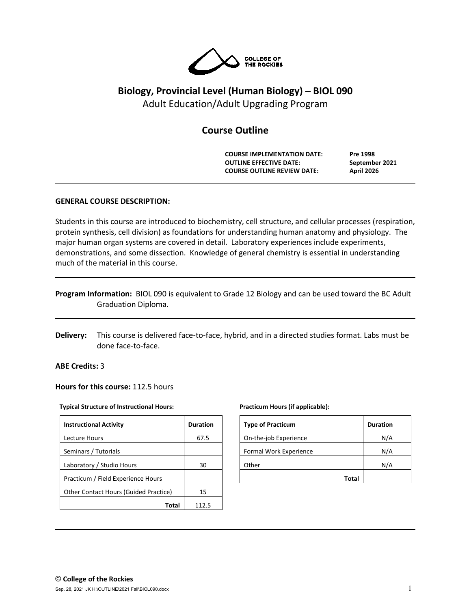

# **Biology, Provincial Level (Human Biology) ─ BIOL 090** Adult Education/Adult Upgrading Program

# **Course Outline**

**COURSE IMPLEMENTATION DATE: Pre 1998 OUTLINE EFFECTIVE DATE: September 2021 COURSE OUTLINE REVIEW DATE: April 2026**

## **GENERAL COURSE DESCRIPTION:**

Students in this course are introduced to biochemistry, cell structure, and cellular processes (respiration, protein synthesis, cell division) as foundations for understanding human anatomy and physiology. The major human organ systems are covered in detail. Laboratory experiences include experiments, demonstrations, and some dissection. Knowledge of general chemistry is essential in understanding much of the material in this course.

|                     | Program Information: BIOL 090 is equivalent to Grade 12 Biology and can be used toward the BC Adult |
|---------------------|-----------------------------------------------------------------------------------------------------|
| Graduation Diploma. |                                                                                                     |

**Delivery:** This course is delivered face-to-face, hybrid, and in a directed studies format. Labs must be done face-to-face.

#### **ABE Credits:** 3

#### **Hours for this course:** 112.5 hours

#### **Typical Structure of Instructional Hours:**

| <b>Instructional Activity</b>                | <b>Duration</b> |
|----------------------------------------------|-----------------|
| Lecture Hours                                | 67.5            |
| Seminars / Tutorials                         |                 |
| Laboratory / Studio Hours                    | 30              |
| Practicum / Field Experience Hours           |                 |
| <b>Other Contact Hours (Guided Practice)</b> | 15              |
| Total                                        | 1125            |

#### **Practicum Hours (if applicable):**

| <b>Type of Practicum</b> | <b>Duration</b> |
|--------------------------|-----------------|
| On-the-job Experience    | N/A             |
| Formal Work Experience   | N/A             |
| Other                    | N/A             |
| <b>Total</b>             |                 |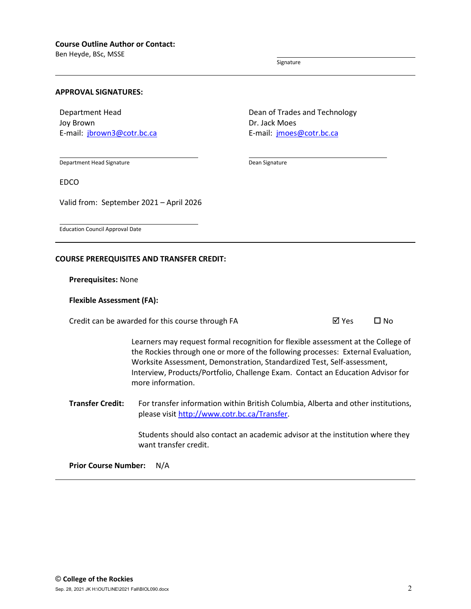Ben Heyde, BSc, MSSE

Signature

Dean Signature

#### **APPROVAL SIGNATURES:**

Department Head Joy Brown E-mail: [jbrown3@cotr.bc.ca](mailto:crouch@cotr.bc.ca) Dean of Trades and Technology Dr. Jack Moes E-mail: [jmoes@cotr.bc.ca](mailto:rworkun@cotr.bc.ca)

Department Head Signature

EDCO

Valid from: September 2021 – April 2026

Education Council Approval Date

#### **COURSE PREREQUISITES AND TRANSFER CREDIT:**

**Prerequisites:** None

#### **Flexible Assessment (FA):**

Credit can be awarded for this course through FA  $\boxtimes$  Yes  $\Box$  No

Learners may request formal recognition for flexible assessment at the College of the Rockies through one or more of the following processes: External Evaluation, Worksite Assessment, Demonstration, Standardized Test, Self-assessment, Interview, Products/Portfolio, Challenge Exam. Contact an Education Advisor for more information.

**Transfer Credit:** For transfer information within British Columbia, Alberta and other institutions, please visit [http://www.cotr.bc.ca/Transfer.](http://www.cotr.bc.ca/Transfer)

> Students should also contact an academic advisor at the institution where they want transfer credit.

**Prior Course Number:** N/A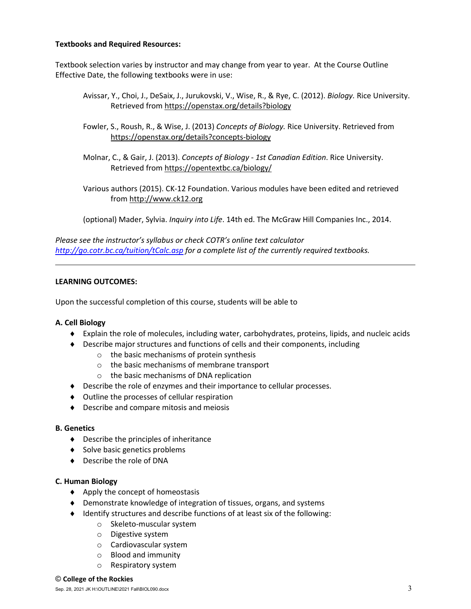## **Textbooks and Required Resources:**

Textbook selection varies by instructor and may change from year to year. At the Course Outline Effective Date, the following textbooks were in use:

- Avissar, Y., Choi, J., DeSaix, J., Jurukovski, V., Wise, R., & Rye, C. (2012). *Biology.* Rice University. Retrieved from<https://openstax.org/details?biology>
- Fowler, S., Roush, R., & Wise, J. (2013) *Concepts of Biology.* Rice University. Retrieved from <https://openstax.org/details?concepts-biology>
- Molnar, C., & Gair, J. (2013). *Concepts of Biology - 1st Canadian Edition*. Rice University. Retrieved from<https://opentextbc.ca/biology/>
- Various authors (2015). CK-12 Foundation. Various modules have been edited and retrieved from [http://www.ck12.org](http://www.ck12.org/)

(optional) Mader, Sylvia. *Inquiry into Life*. 14th ed. The McGraw Hill Companies Inc., 2014.

*Please see the instructor's syllabus or check COTR's online text calculator <http://go.cotr.bc.ca/tuition/tCalc.asp> for a complete list of the currently required textbooks.*

## **LEARNING OUTCOMES:**

Upon the successful completion of this course, students will be able to

#### **A. Cell Biology**

- ♦ Explain the role of molecules, including water, carbohydrates, proteins, lipids, and nucleic acids
- ♦ Describe major structures and functions of cells and their components, including
	- o the basic mechanisms of protein synthesis
	- o the basic mechanisms of membrane transport
	- o the basic mechanisms of DNA replication
- ♦ Describe the role of enzymes and their importance to cellular processes.
- ♦ Outline the processes of cellular respiration
- ♦ Describe and compare mitosis and meiosis

#### **B. Genetics**

- ♦ Describe the principles of inheritance
- ♦ Solve basic genetics problems
- ♦ Describe the role of DNA

#### **C. Human Biology**

- ♦ Apply the concept of homeostasis
- ♦ Demonstrate knowledge of integration of tissues, organs, and systems
- ♦ Identify structures and describe functions of at least six of the following:
	- o Skeleto-muscular system
	- o Digestive system
	- o Cardiovascular system
	- o Blood and immunity
	- o Respiratory system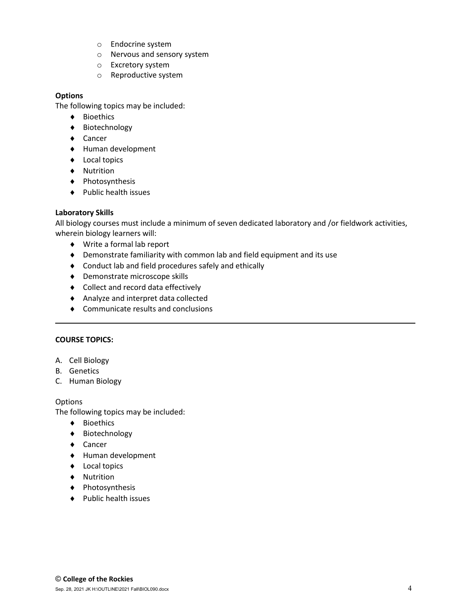- o Endocrine system
- o Nervous and sensory system
- o Excretory system
- o Reproductive system

## **Options**

The following topics may be included:

- ♦ Bioethics
- ♦ Biotechnology
- ♦ Cancer
- ♦ Human development
- ♦ Local topics
- ♦ Nutrition
- ♦ Photosynthesis
- ♦ Public health issues

## **Laboratory Skills**

All biology courses must include a minimum of seven dedicated laboratory and /or fieldwork activities, wherein biology learners will:

- ♦ Write a formal lab report
- ♦ Demonstrate familiarity with common lab and field equipment and its use
- ♦ Conduct lab and field procedures safely and ethically
- ♦ Demonstrate microscope skills
- ♦ Collect and record data effectively
- ♦ Analyze and interpret data collected
- ♦ Communicate results and conclusions

## **COURSE TOPICS:**

- A. Cell Biology
- B. Genetics
- C. Human Biology

## Options

The following topics may be included:

- ♦ Bioethics
- ♦ Biotechnology
- ♦ Cancer
- ♦ Human development
- ♦ Local topics
- ♦ Nutrition
- ♦ Photosynthesis
- ♦ Public health issues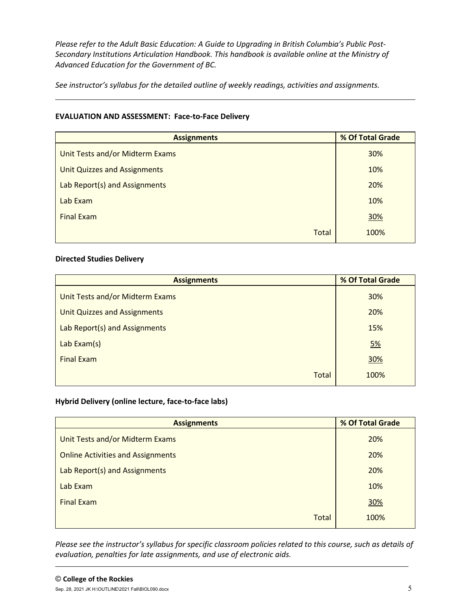*Please refer to the Adult Basic Education: A Guide to Upgrading in British Columbia's Public Post-Secondary Institutions Articulation Handbook. This handbook is available online at the Ministry of Advanced Education for the Government of BC.*

*See instructor's syllabus for the detailed outline of weekly readings, activities and assignments.* 

# **EVALUATION AND ASSESSMENT: Face-to-Face Delivery**

| <b>Assignments</b>                  | % Of Total Grade |
|-------------------------------------|------------------|
| Unit Tests and/or Midterm Exams     | 30%              |
| <b>Unit Quizzes and Assignments</b> | 10%              |
| Lab Report(s) and Assignments       | 20%              |
| Lab Exam                            | 10%              |
| <b>Final Exam</b>                   | 30%              |
| <b>Total</b>                        | 100%             |

## **Directed Studies Delivery**

| <b>Assignments</b>                     | % Of Total Grade |  |  |
|----------------------------------------|------------------|--|--|
| <b>Unit Tests and/or Midterm Exams</b> | 30%              |  |  |
| <b>Unit Quizzes and Assignments</b>    | 20%              |  |  |
| Lab Report(s) and Assignments          | 15%              |  |  |
| Lab $Exam(s)$                          | <u>5%</u>        |  |  |
| <b>Final Exam</b>                      | 30%              |  |  |
| <b>Total</b>                           | 100%             |  |  |

# **Hybrid Delivery (online lecture, face-to-face labs)**

| <b>Assignments</b>                       | % Of Total Grade |
|------------------------------------------|------------------|
| Unit Tests and/or Midterm Exams          | 20%              |
| <b>Online Activities and Assignments</b> | 20%              |
| Lab Report(s) and Assignments            | 20%              |
| Lab Exam                                 | 10%              |
| <b>Final Exam</b>                        | 30%              |
| Total                                    | 100%             |

*Please see the instructor's syllabus for specific classroom policies related to this course, such as details of evaluation, penalties for late assignments, and use of electronic aids.*